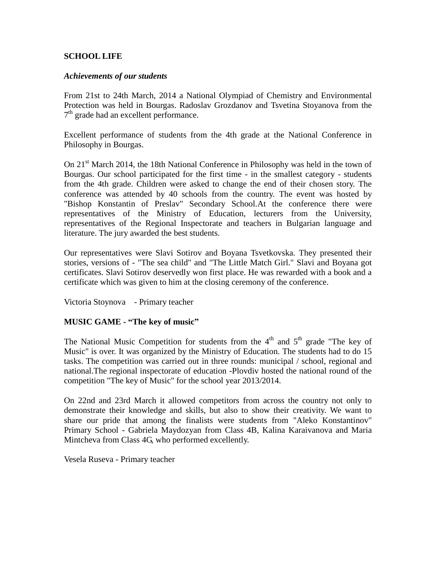## **SCHOOL LIFE**

#### *Achievements of our students*

From 21st to 24th March, 2014 a National Olympiad of Chemistry and Environmental Protection was held in Bourgas. Radoslav Grozdanov and Tsvetina Stoyanova from the 7<sup>th</sup> grade had an excellent performance.

Excellent performance of students from the 4th grade at the National Conference in Philosophy in Bourgas.

On 21<sup>st</sup> March 2014, the 18th National Conference in Philosophy was held in the town of Bourgas. Our school participated for the first time - in the smallest category - students from the 4th grade. Children were asked to change the end of their chosen story. The conference was attended by 40 schools from the country. The event was hosted by "Bishop Konstantin of Preslav" Secondary School.At the conference there were representatives of the Ministry of Education, lecturers from the University, representatives of the Regional Inspectorate and teachers in Bulgarian language and literature. The jury awarded the best students.

Our representatives were Slavi Sotirov and Boyana Tsvetkovska. They presented their stories, versions of - "The sea child" and "The Little Match Girl." Slavi and Boyana got certificates. Slavi Sotirov deservedly won first place. He was rewarded with a book and a certificate which was given to him at the closing ceremony of the conference.

Victoria Stoynova - Primary teacher

#### **MUSIC GAME - "The key of music"**

The National Music Competition for students from the  $4<sup>th</sup>$  and  $5<sup>th</sup>$  grade "The key of Music" is over. It was organized by the Ministry of Education. The students had to do 15 tasks. The competition was carried out in three rounds: municipal / school, regional and national.The regional inspectorate of education -Plovdiv hosted the national round of the competition "The key of Music" for the school year 2013/2014.

On 22nd and 23rd March it allowed competitors from across the country not only to demonstrate their knowledge and skills, but also to show their creativity. We want to share our pride that among the finalists were students from "Aleko Konstantinov" Primary School - Gabriela Maydozyan from Class 4B, Kalina Karaivanova and Maria Mintcheva from Class 4G, who performed excellently.

Vesela Ruseva - Primary teacher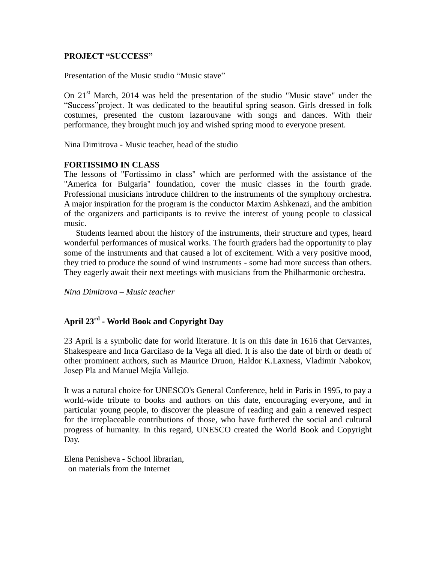#### **PROJECT "SUCCESS"**

Presentation of the Music studio "Music stave"

On 21<sup>st</sup> March, 2014 was held the presentation of the studio "Music stave" under the "Success"project. It was dedicated to the beautiful spring season. Girls dressed in folk costumes, presented the custom lazarouvane with songs and dances. With their performance, they brought much joy and wished spring mood to everyone present.

Nina Dimitrova - Music teacher, head of the studio

## **FORTISSIMO IN CLASS**

The lessons of "Fortissimo in class" which are performed with the assistance of the "America for Bulgaria" foundation, cover the music classes in the fourth grade. Professional musicians introduce children to the instruments of the symphony orchestra. A major inspiration for the program is the conductor Maxim Ashkenazi, and the ambition of the organizers and participants is to revive the interest of young people to classical music.

Students learned about the history of the instruments, their structure and types, heard wonderful performances of musical works. The fourth graders had the opportunity to play some of the instruments and that caused a lot of excitement. With a very positive mood, they tried to produce the sound of wind instruments - some had more success than others. They eagerly await their next meetings with musicians from the Philharmonic orchestra.

*Nina Dimitrova – Music teacher*

# **April 23rd - World Book and Copyright Day**

23 April is a symbolic date for world literature. It is on this date in 1616 that Cervantes, Shakespeare and Inca Garcilaso de la Vega all died. It is also the date of birth or death of other prominent authors, such as Maurice Druon, Haldor K.Laxness, Vladimir Nabokov, Josep Pla and Manuel Mejía Vallejo.

It was a natural choice for UNESCO's General Conference, held in Paris in 1995, to pay a world-wide tribute to books and authors on this date, encouraging everyone, and in particular young people, to discover the pleasure of reading and gain a renewed respect for the irreplaceable contributions of those, who have furthered the social and cultural progress of humanity. In this regard, UNESCO created the World Book and Copyright Day.

Elena Penisheva - School librarian, on materials from the Internet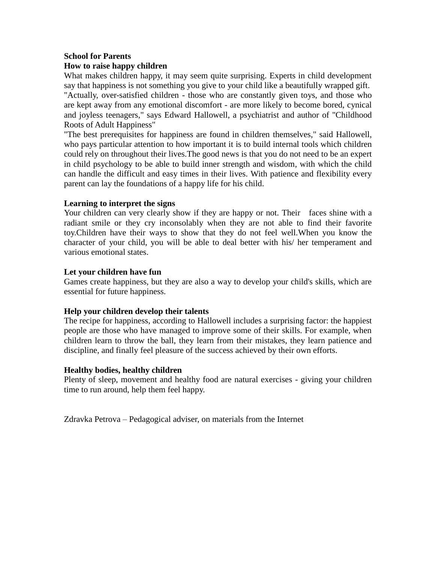# **School for Parents**

# **How to raise happy children**

What makes children happy, it may seem quite surprising. Experts in child development say that happiness is not something you give to your child like a beautifully wrapped gift.

"Actually, over-satisfied children - those who are constantly given toys, and those who are kept away from any emotional discomfort - are more likely to become bored, cynical and joyless teenagers," says Edward Hallowell, a psychiatrist and author of "Childhood Roots of Adult Happiness"

"The best prerequisites for happiness are found in children themselves," said Hallowell, who pays particular attention to how important it is to build internal tools which children could rely on throughout their lives.The good news is that you do not need to be an expert in child psychology to be able to build inner strength and wisdom, with which the child can handle the difficult and easy times in their lives. With patience and flexibility every parent can lay the foundations of a happy life for his child.

## **Learning to interpret the signs**

Your children can very clearly show if they are happy or not. Their faces shine with a radiant smile or they cry inconsolably when they are not able to find their favorite toy.Children have their ways to show that they do not feel well.When you know the character of your child, you will be able to deal better with his/ her temperament and various emotional states.

#### **Let your children have fun**

Games create happiness, but they are also a way to develop your child's skills, which are essential for future happiness.

# **Help your children develop their talents**

The recipe for happiness, according to Hallowell includes a surprising factor: the happiest people are those who have managed to improve some of their skills. For example, when children learn to throw the ball, they learn from their mistakes, they learn patience and discipline, and finally feel pleasure of the success achieved by their own efforts.

#### **Healthy bodies, healthy children**

Plenty of sleep, movement and healthy food are natural exercises - giving your children time to run around, help them feel happy.

Zdravka Petrova – Pedagogical adviser, on materials from the Internet